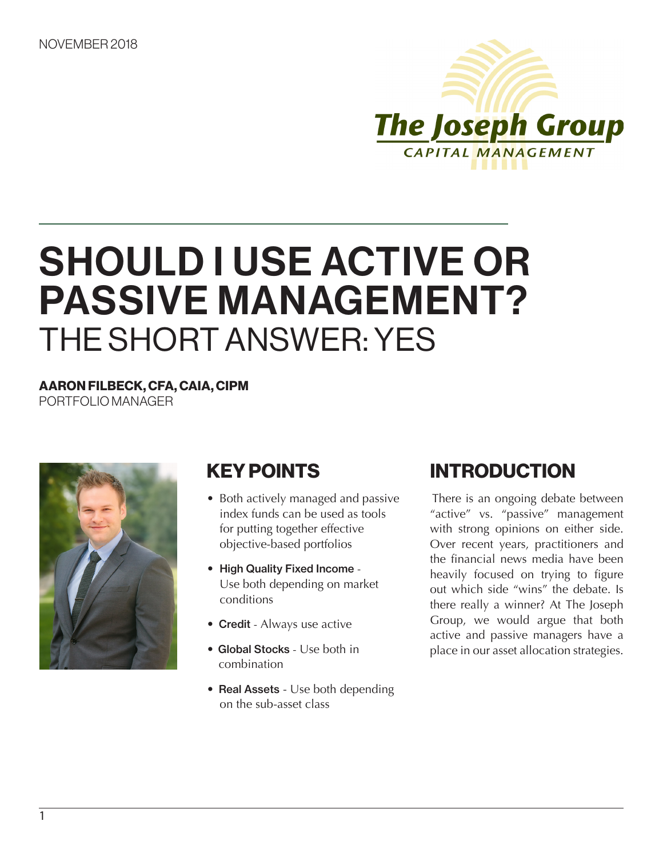

# SHOULD I USE ACTIVE OR PASSIVE MANAGEMENT? THE SHORT ANSWER: YES

AARON FILBECK, CFA, CAIA, CIPM PORTFOLIO MANAGER



# KEY POINTS

- Both actively managed and passive index funds can be used as tools for putting together effective objective-based portfolios
- High Quality Fixed Income Use both depending on market conditions
- Credit Always use active
- Global Stocks Use both in combination
- Real Assets Use both depending on the sub-asset class

# INTRODUCTION

There is an ongoing debate between "active" vs. "passive" management with strong opinions on either side. Over recent years, practitioners and the financial news media have been heavily focused on trying to figure out which side "wins" the debate. Is there really a winner? At The Joseph Group, we would argue that both active and passive managers have a place in our asset allocation strategies.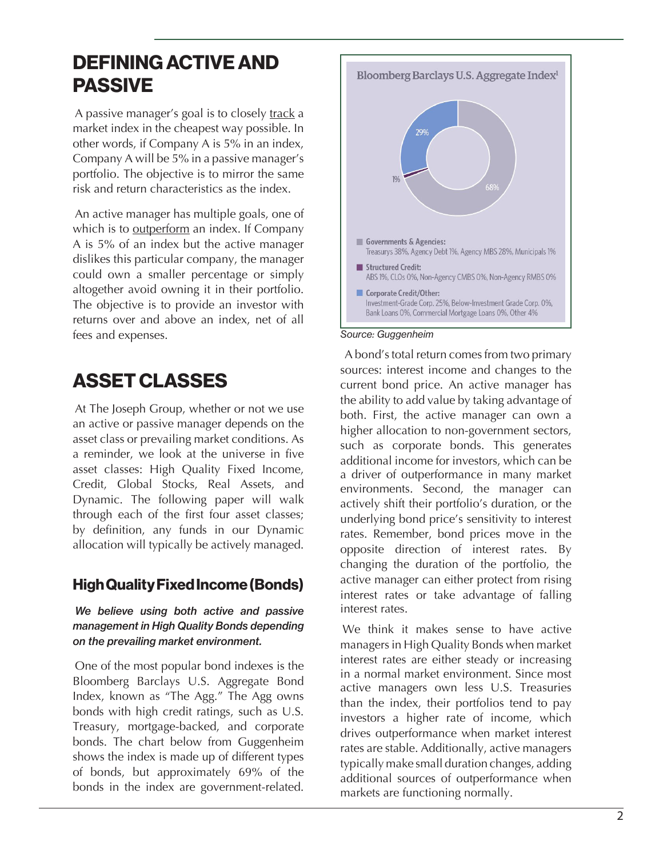### DEFINING ACTIVE AND PASSIVE

A passive manager's goal is to closely track a market index in the cheapest way possible. In other words, if Company A is 5% in an index, Company A will be 5% in a passive manager's portfolio. The objective is to mirror the same risk and return characteristics as the index.

An active manager has multiple goals, one of which is to outperform an index. If Company A is 5% of an index but the active manager dislikes this particular company, the manager could own a smaller percentage or simply altogether avoid owning it in their portfolio. The objective is to provide an investor with returns over and above an index, net of all fees and expenses.

# ASSET CLASSES

At The Joseph Group, whether or not we use an active or passive manager depends on the asset class or prevailing market conditions. As a reminder, we look at the universe in five asset classes: High Quality Fixed Income, Credit, Global Stocks, Real Assets, and Dynamic. The following paper will walk through each of the first four asset classes; by definition, any funds in our Dynamic allocation will typically be actively managed.

### High Quality Fixed Income (Bonds)

#### *We believe using both active and passive management in High Quality Bonds depending on the prevailing market environment.*

One of the most popular bond indexes is the Bloomberg Barclays U.S. Aggregate Bond Index, known as "The Agg." The Agg owns bonds with high credit ratings, such as U.S. Treasury, mortgage-backed, and corporate bonds. The chart below from Guggenheim shows the index is made up of different types of bonds, but approximately 69% of the bonds in the index are government-related.



#### *Source: Guggenheim*

A bond's total return comes from two primary sources: interest income and changes to the current bond price. An active manager has the ability to add value by taking advantage of both. First, the active manager can own a higher allocation to non-government sectors, such as corporate bonds. This generates additional income for investors, which can be a driver of outperformance in many market environments. Second, the manager can actively shift their portfolio's duration, or the underlying bond price's sensitivity to interest rates. Remember, bond prices move in the opposite direction of interest rates. By changing the duration of the portfolio, the active manager can either protect from rising interest rates or take advantage of falling interest rates.

We think it makes sense to have active managers in High Quality Bonds when market interest rates are either steady or increasing in a normal market environment. Since most active managers own less U.S. Treasuries than the index, their portfolios tend to pay investors a higher rate of income, which drives outperformance when market interest rates are stable. Additionally, active managers typically make small duration changes, adding additional sources of outperformance when markets are functioning normally.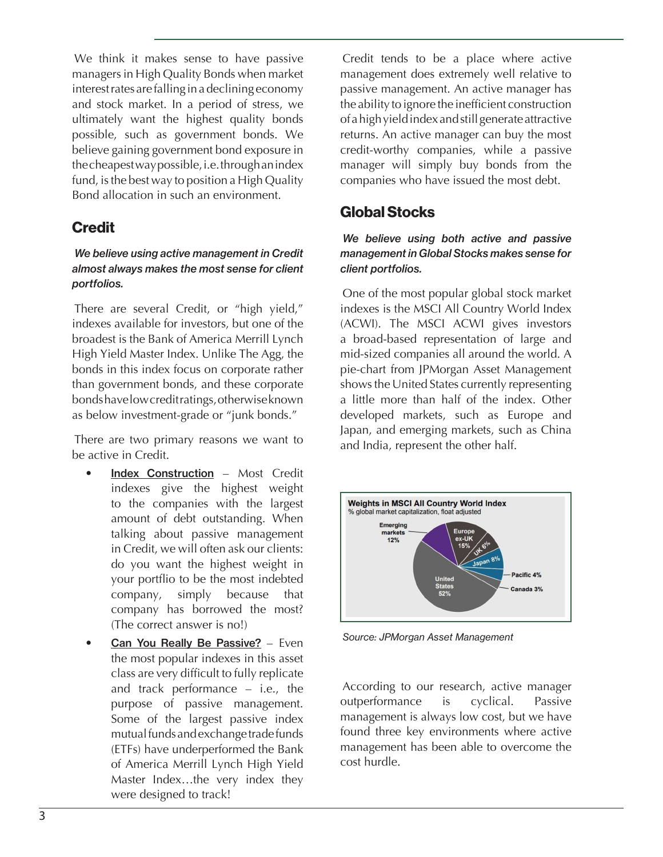We think it makes sense to have passive managers in High Quality Bonds when market interest rates are falling in a declining economy and stock market. In a period of stress, we ultimately want the highest quality bonds possible, such as government bonds. We believe gaining government bond exposure in the cheapest way possible, i.e. through an index fund, is the best way to position a High Quality Bond allocation in such an environment.

### **Credit**

#### *We believe using active management in Credit almost always makes the most sense for client portfolios.*

There are several Credit, or "high yield," indexes available for investors, but one of the broadest is the Bank of America Merrill Lynch High Yield Master Index. Unlike The Agg, the bonds in this index focus on corporate rather than government bonds, and these corporate bonds have low credit ratings, otherwise known as below investment-grade or "junk bonds."

There are two primary reasons we want to be active in Credit.

- Index Construction Most Credit indexes give the highest weight to the companies with the largest amount of debt outstanding. When talking about passive management in Credit, we will often ask our clients: do you want the highest weight in your portflio to be the most indebted company, simply because that company has borrowed the most? (The correct answer is no!)
- Can You Really Be Passive? Even the most popular indexes in this asset class are very difficult to fully replicate and track performance – i.e., the purpose of passive management. Some of the largest passive index mutual funds and exchange trade funds (ETFs) have underperformed the Bank of America Merrill Lynch High Yield Master Index…the very index they were designed to track!

Credit tends to be a place where active management does extremely well relative to passive management. An active manager has the ability to ignore the inefficient construction of a high yield index and still generate attractive returns. An active manager can buy the most credit-worthy companies, while a passive manager will simply buy bonds from the companies who have issued the most debt.

### Global Stocks

#### *We believe using both active and passive management in Global Stocks makes sense for client portfolios.*

One of the most popular global stock market indexes is the MSCI All Country World Index (ACWI). The MSCI ACWI gives investors a broad-based representation of large and mid-sized companies all around the world. A pie-chart from JPMorgan Asset Management shows the United States currently representing a little more than half of the index. Other developed markets, such as Europe and Japan, and emerging markets, such as China and India, represent the other half.



*Source: JPMorgan Asset Management*

According to our research, active manager outperformance is cyclical. Passive management is always low cost, but we have found three key environments where active management has been able to overcome the cost hurdle.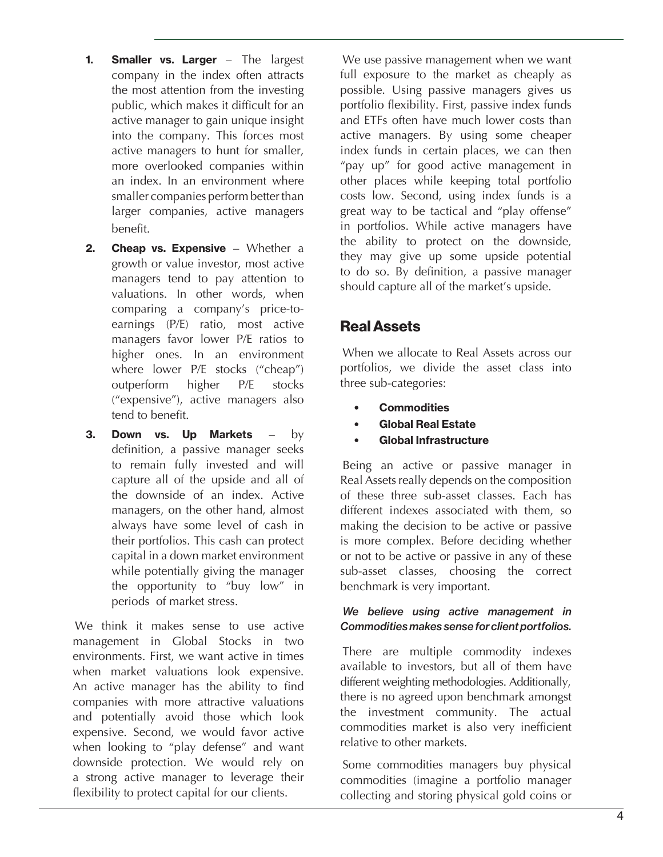- 1. Smaller vs. Larger The largest company in the index often attracts the most attention from the investing public, which makes it difficult for an active manager to gain unique insight into the company. This forces most active managers to hunt for smaller, more overlooked companies within an index. In an environment where smaller companies perform better than larger companies, active managers benefit.
- **2.** Cheap vs. Expensive Whether a growth or value investor, most active managers tend to pay attention to valuations. In other words, when comparing a company's price-toearnings (P/E) ratio, most active managers favor lower P/E ratios to higher ones. In an environment where lower P/E stocks ("cheap") outperform higher P/E stocks ("expensive"), active managers also tend to benefit.
- 3. Down vs. Up Markets  $-$  by definition, a passive manager seeks to remain fully invested and will capture all of the upside and all of the downside of an index. Active managers, on the other hand, almost always have some level of cash in their portfolios. This cash can protect capital in a down market environment while potentially giving the manager the opportunity to "buy low" in periods of market stress.

We think it makes sense to use active management in Global Stocks in two environments. First, we want active in times when market valuations look expensive. An active manager has the ability to find companies with more attractive valuations and potentially avoid those which look expensive. Second, we would favor active when looking to "play defense" and want downside protection. We would rely on a strong active manager to leverage their flexibility to protect capital for our clients.

We use passive management when we want full exposure to the market as cheaply as possible. Using passive managers gives us portfolio flexibility. First, passive index funds and ETFs often have much lower costs than active managers. By using some cheaper index funds in certain places, we can then "pay up" for good active management in other places while keeping total portfolio costs low. Second, using index funds is a great way to be tactical and "play offense" in portfolios. While active managers have the ability to protect on the downside, they may give up some upside potential to do so. By definition, a passive manager should capture all of the market's upside.

### Real Assets

When we allocate to Real Assets across our portfolios, we divide the asset class into three sub-categories:

- **Commodities**
- Global Real Estate
- Global Infrastructure

Being an active or passive manager in Real Assets really depends on the composition of these three sub-asset classes. Each has different indexes associated with them, so making the decision to be active or passive is more complex. Before deciding whether or not to be active or passive in any of these sub-asset classes, choosing the correct benchmark is very important.

#### *We believe using active management in Commodities makes sense for client portfolios.*

There are multiple commodity indexes available to investors, but all of them have different weighting methodologies. Additionally, there is no agreed upon benchmark amongst the investment community. The actual commodities market is also very inefficient relative to other markets.

Some commodities managers buy physical commodities (imagine a portfolio manager collecting and storing physical gold coins or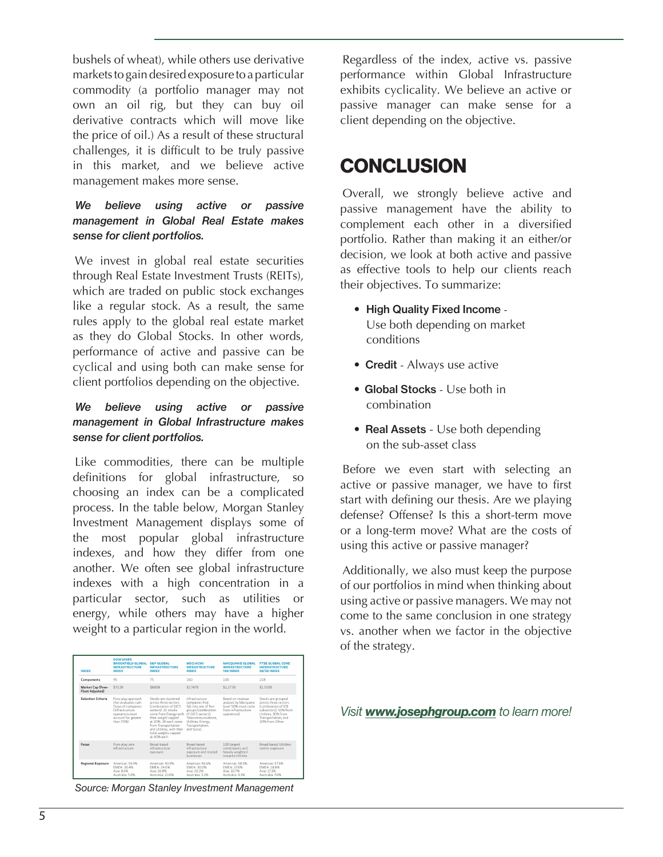bushels of wheat), while others use derivative markets to gain desired exposure to a particular commodity (a portfolio manager may not own an oil rig, but they can buy oil derivative contracts which will move like the price of oil.) As a result of these structural challenges, it is difficult to be truly passive in this market, and we believe active management makes more sense.

#### *We believe using active or passive management in Global Real Estate makes sense for client portfolios.*

We invest in global real estate securities through Real Estate Investment Trusts (REITs), which are traded on public stock exchanges like a regular stock. As a result, the same rules apply to the global real estate market as they do Global Stocks. In other words, performance of active and passive can be cyclical and using both can make sense for client portfolios depending on the objective.

#### *We believe using active or passive management in Global Infrastructure makes sense for client portfolios.*

Like commodities, there can be multiple definitions for global infrastructure, so choosing an index can be a complicated process. In the table below, Morgan Stanley Investment Management displays some of the most popular global infrastructure indexes, and how they differ from one another. We often see global infrastructure indexes with a high concentration in a particular sector, such as utilities or energy, while others may have a higher weight to a particular region in the world.

| <b>INDEX</b>                         | <b>DOW JONES</b><br><b>RROOKFIFLD GLORAL</b><br><b>INFRASTRUCTURE</b><br><b>INDEX</b>                                                        | S&P GLORAL<br><b>INFRASTRUCTURE</b><br><b>INDEX</b>                                                                                                                                                                                                            | <b>MSCLACWI</b><br><b>INFRASTRUCTURE</b><br><b>INDEX</b>                                                                                                                             | <b>MACOUARIE GLOBAL</b><br><b>INFRASTRUCTURE</b><br>100 INDEX                                           | <b>ETSE GLORAL CORE</b><br><b>INFRASTRUCTURE</b><br><b>SO/SO INDEX</b>                                                                                      |
|--------------------------------------|----------------------------------------------------------------------------------------------------------------------------------------------|----------------------------------------------------------------------------------------------------------------------------------------------------------------------------------------------------------------------------------------------------------------|--------------------------------------------------------------------------------------------------------------------------------------------------------------------------------------|---------------------------------------------------------------------------------------------------------|-------------------------------------------------------------------------------------------------------------------------------------------------------------|
| Components                           | 95                                                                                                                                           | 75                                                                                                                                                                                                                                                             | 260                                                                                                                                                                                  | 100                                                                                                     | 218                                                                                                                                                         |
| Market Cap (Free-<br>Float Adjusted) | <b>\$712B</b>                                                                                                                                | <b>\$880B</b>                                                                                                                                                                                                                                                  | \$2.747B                                                                                                                                                                             | \$1,273B                                                                                                | \$1,502B                                                                                                                                                    |
| <b>Selection Criteria</b>            | Pure-play approach<br>that evaluates cash.<br>flows of companies<br>(Infrastructure)<br>operations must<br>account for greater<br>than 70%). | Stocks are clustered<br>across three sectors.<br>Combination of GICS<br>sectors). 15 stocks<br>come from Energy with<br>their weight capped<br>at 20%. 30 each come<br>from Transportation<br>and Utilities, with their<br>total weights capped<br>at 40% each | Infrastructure<br>companies that<br>fall into one of five<br>groups (combination<br>of GICS sectors):<br>Telecommunications.<br>Utilities, Energy,<br>Transportation.<br>and Social. | Based on revenue<br>analysis by Macquarie<br>Cover 50% must come<br>from infrastructure<br>operations). | Stocks are grouped<br>across three sectors.<br>Combination of ICR<br>subsectors): 50% from<br>Utilities, 30% from<br>Transportation, and<br>20% from Other. |
| Focus                                | Pure-play core<br>infrastructure                                                                                                             | Broad-based<br>infrastructure<br>exposure                                                                                                                                                                                                                      | <b>Broad-based</b><br>Infrastructure<br>exposure and related<br>husinesses                                                                                                           | 100 largest<br>constituents and<br>heavily weighted<br>towards Utilities                                | Broad-based, Utilities-<br>centric exposure                                                                                                                 |
| <b>Regional Exposure</b>             | Americas: 59.4%<br><b>EMEA</b> - 26.4%<br>Asia: 8.6%<br>Australia: 5.6%                                                                      | Americas: 43.9%<br><b>EMEA: 34.6%</b><br>Asia: 10.8%<br>Australia: 10.6%                                                                                                                                                                                       | Americas: 46.6%<br>EMEA: 30.0%<br>Asia: 20.2%<br>Australia: 3.1%                                                                                                                     | Americas: 58.5%<br><b>FMFA: 276%</b><br>Asia: 10.7%<br>Australia: 3.3%                                  | Americas: 57.1%<br><b>FMFA</b> 18.8%<br>Asia: 17.1%<br>Australia: 7.0%                                                                                      |

*Source: Morgan Stanley Investment Management*

Regardless of the index, active vs. passive performance within Global Infrastructure exhibits cyclicality. We believe an active or passive manager can make sense for a client depending on the objective.

### **CONCLUSION**

Overall, we strongly believe active and passive management have the ability to complement each other in a diversified portfolio. Rather than making it an either/or decision, we look at both active and passive as effective tools to help our clients reach their objectives. To summarize:

- High Quality Fixed Income Use both depending on market conditions
- Credit Always use active
- Global Stocks Use both in combination
- Real Assets Use both depending on the sub-asset class

Before we even start with selecting an active or passive manager, we have to first start with defining our thesis. Are we playing defense? Offense? Is this a short-term move or a long-term move? What are the costs of using this active or passive manager?

Additionally, we also must keep the purpose of our portfolios in mind when thinking about using active or passive managers. We may not come to the same conclusion in one strategy vs. another when we factor in the objective of the strategy.

*Visit www.josephgroup.com to learn more!*